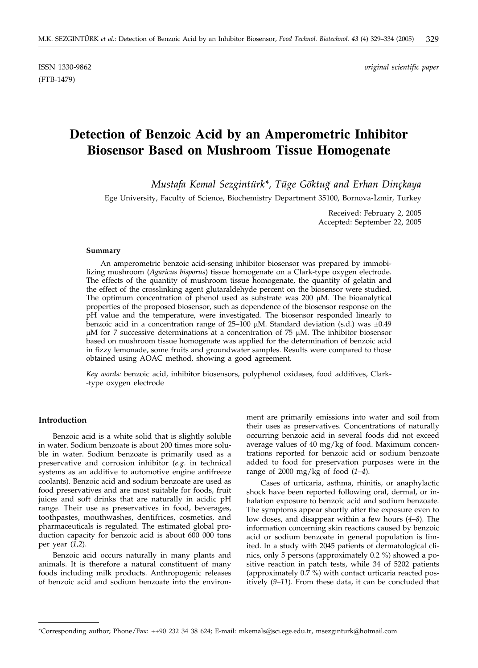(FTB-1479)

ISSN 1330-9862 *original scientific paper*

# **Detection of Benzoic Acid by an Amperometric Inhibitor Biosensor Based on Mushroom Tissue Homogenate**

*Mustafa Kemal Sezgintürk\*, Tüge Göktug w and Erhan Dinçkaya*

Ege University, Faculty of Science, Biochemistry Department 35100, Bornova-İzmir, Turkey

Received: February 2, 2005 Accepted: September 22, 2005

#### **Summary**

An amperometric benzoic acid-sensing inhibitor biosensor was prepared by immobilizing mushroom (*Agaricus bisporus*) tissue homogenate on a Clark-type oxygen electrode. The effects of the quantity of mushroom tissue homogenate, the quantity of gelatin and the effect of the crosslinking agent glutaraldehyde percent on the biosensor were studied. The optimum concentration of phenol used as substrate was  $200 \mu M$ . The bioanalytical properties of the proposed biosensor, such as dependence of the biosensor response on the pH value and the temperature, were investigated. The biosensor responded linearly to benzoic acid in a concentration range of  $25-100 \mu M$ . Standard deviation (s.d.) was  $\pm 0.49$  $\mu$ M for 7 successive determinations at a concentration of 75  $\mu$ M. The inhibitor biosensor based on mushroom tissue homogenate was applied for the determination of benzoic acid in fizzy lemonade, some fruits and groundwater samples. Results were compared to those obtained using AOAC method, showing a good agreement.

*Key words:* benzoic acid, inhibitor biosensors, polyphenol oxidases, food additives, Clark- -type oxygen electrode

### **Introduction**

Benzoic acid is a white solid that is slightly soluble in water. Sodium benzoate is about 200 times more soluble in water. Sodium benzoate is primarily used as a preservative and corrosion inhibitor (*e.g.* in technical systems as an additive to automotive engine antifreeze coolants). Benzoic acid and sodium benzoate are used as food preservatives and are most suitable for foods, fruit juices and soft drinks that are naturally in acidic pH range. Their use as preservatives in food, beverages, toothpastes, mouthwashes, dentifrices, cosmetics, and pharmaceuticals is regulated. The estimated global production capacity for benzoic acid is about 600 000 tons per year (*1,2*).

Benzoic acid occurs naturally in many plants and animals. It is therefore a natural constituent of many foods including milk products. Anthropogenic releases of benzoic acid and sodium benzoate into the environment are primarily emissions into water and soil from their uses as preservatives. Concentrations of naturally occurring benzoic acid in several foods did not exceed average values of 40 mg/kg of food. Maximum concentrations reported for benzoic acid or sodium benzoate added to food for preservation purposes were in the range of 2000 mg/kg of food (*1–4*).

Cases of urticaria, asthma, rhinitis, or anaphylactic shock have been reported following oral, dermal, or inhalation exposure to benzoic acid and sodium benzoate. The symptoms appear shortly after the exposure even to low doses, and disappear within a few hours (*4–8*). The information concerning skin reactions caused by benzoic acid or sodium benzoate in general population is limited. In a study with 2045 patients of dermatological clinics, only 5 persons (approximately 0.2 %) showed a positive reaction in patch tests, while 34 of 5202 patients (approximately  $0.\overline{7}$  %) with contact urticaria reacted positively (*9–11*). From these data, it can be concluded that

<sup>\*</sup>Corresponding author; Phone/Fax: ++90 232 34 38 624; E-mail: mkemals@sci.ege.edu.tr, msezginturk@hotmail.com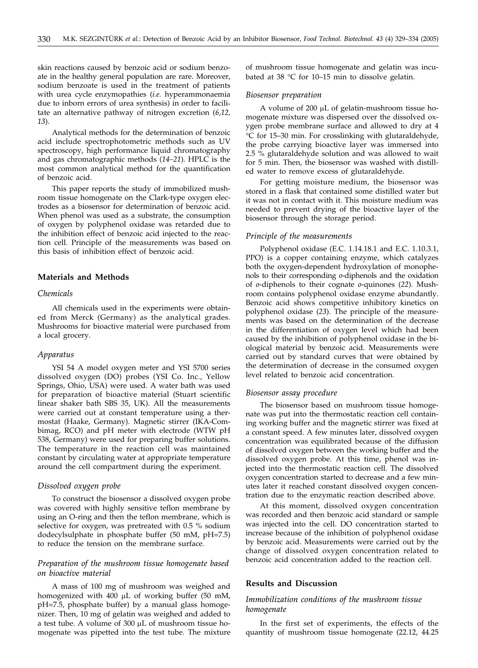skin reactions caused by benzoic acid or sodium benzoate in the healthy general population are rare. Moreover, sodium benzoate is used in the treatment of patients with urea cycle enzymopathies (*i.e.* hyperammonaemia due to inborn errors of urea synthesis) in order to facilitate an alternative pathway of nitrogen excretion (*6,12, 13*).

Analytical methods for the determination of benzoic acid include spectrophotometric methods such as UV spectroscopy, high performance liquid chromatography and gas chromatographic methods (*14–21*). HPLC is the most common analytical method for the quantification of benzoic acid.

This paper reports the study of immobilized mushroom tissue homogenate on the Clark-type oxygen electrodes as a biosensor for determination of benzoic acid. When phenol was used as a substrate, the consumption of oxygen by polyphenol oxidase was retarded due to the inhibition effect of benzoic acid injected to the reaction cell. Principle of the measurements was based on this basis of inhibition effect of benzoic acid.

## **Materials and Methods**

## *Chemicals*

All chemicals used in the experiments were obtained from Merck (Germany) as the analytical grades. Mushrooms for bioactive material were purchased from a local grocery.

#### *Apparatus*

YSI 54 A model oxygen meter and YSI 5700 series dissolved oxygen (DO) probes (YSI Co. Inc., Yellow Springs, Ohio, USA) were used. A water bath was used for preparation of bioactive material (Stuart scientific linear shaker bath SBS 35, UK). All the measurements were carried out at constant temperature using a thermostat (Haake, Germany). Magnetic stirrer (IKA-Combimag, RCO) and pH meter with electrode (WTW pH 538, Germany) were used for preparing buffer solutions. The temperature in the reaction cell was maintained constant by circulating water at appropriate temperature around the cell compartment during the experiment.

#### *Dissolved oxygen probe*

To construct the biosensor a dissolved oxygen probe was covered with highly sensitive teflon membrane by using an O-ring and then the teflon membrane, which is selective for oxygen, was pretreated with 0.5 % sodium dodecylsulphate in phosphate buffer (50 mM, pH=7.5) to reduce the tension on the membrane surface.

## *Preparation of the mushroom tissue homogenate based on bioactive material*

A mass of 100 mg of mushroom was weighed and homogenized with 400  $\mu$ L of working buffer (50 mM, pH=7.5, phosphate buffer) by a manual glass homogenizer. Then, 10 mg of gelatin was weighed and added to a test tube. A volume of 300 µL of mushroom tissue homogenate was pipetted into the test tube. The mixture of mushroom tissue homogenate and gelatin was incubated at 38  $\degree$ C for 10–15 min to dissolve gelatin.

#### *Biosensor preparation*

A volume of 200  $\mu$ L of gelatin-mushroom tissue homogenate mixture was dispersed over the dissolved oxygen probe membrane surface and allowed to dry at 4 C for 15–30 min. For crosslinking with glutaraldehyde, the probe carrying bioactive layer was immersed into 2.5 % glutaraldehyde solution and was allowed to wait for 5 min. Then, the biosensor was washed with distilled water to remove excess of glutaraldehyde.

For getting moisture medium, the biosensor was stored in a flask that contained some distilled water but it was not in contact with it. This moisture medium was needed to prevent drying of the bioactive layer of the biosensor through the storage period.

## *Principle of the measurements*

Polyphenol oxidase (E.C. 1.14.18.1 and E.C. 1.10.3.1, PPO) is a copper containing enzyme, which catalyzes both the oxygen-dependent hydroxylation of monophenols to their corresponding *o*-diphenols and the oxidation of *o*-diphenols to their cognate *o*-quinones (*22*). Mushroom contains polyphenol oxidase enzyme abundantly. Benzoic acid shows competitive inhibitory kinetics on polyphenol oxidase (*23*). The principle of the measurements was based on the determination of the decrease in the differentiation of oxygen level which had been caused by the inhibition of polyphenol oxidase in the biological material by benzoic acid. Measurements were carried out by standard curves that were obtained by the determination of decrease in the consumed oxygen level related to benzoic acid concentration.

#### *Biosensor assay procedure*

The biosensor based on mushroom tissue homogenate was put into the thermostatic reaction cell containing working buffer and the magnetic stirrer was fixed at a constant speed. A few minutes later, dissolved oxygen concentration was equilibrated because of the diffusion of dissolved oxygen between the working buffer and the dissolved oxygen probe. At this time, phenol was injected into the thermostatic reaction cell. The dissolved oxygen concentration started to decrease and a few minutes later it reached constant dissolved oxygen concentration due to the enzymatic reaction described above.

At this moment, dissolved oxygen concentration was recorded and then benzoic acid standard or sample was injected into the cell. DO concentration started to increase because of the inhibition of polyphenol oxidase by benzoic acid. Measurements were carried out by the change of dissolved oxygen concentration related to benzoic acid concentration added to the reaction cell.

## **Results and Discussion**

## *Immobilization conditions of the mushroom tissue homogenate*

In the first set of experiments, the effects of the quantity of mushroom tissue homogenate (22.12, 44.25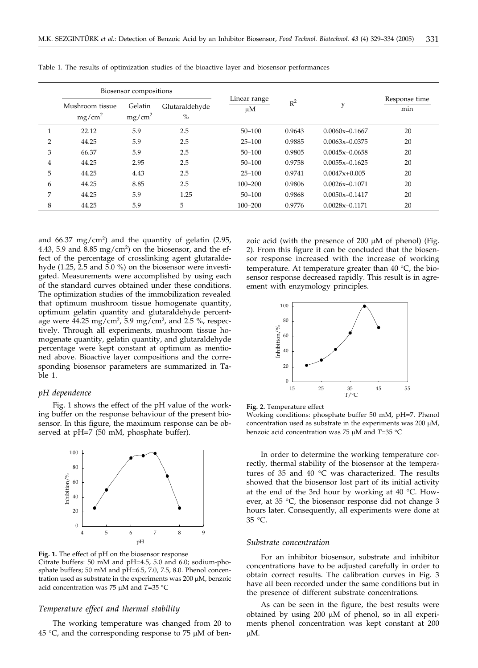|   | Biosensor compositions                |                               |                        |                    |        |                    |                      |
|---|---------------------------------------|-------------------------------|------------------------|--------------------|--------|--------------------|----------------------|
|   | Mushroom tissue<br>mg/cm <sup>2</sup> | Gelatin<br>mg/cm <sup>2</sup> | Glutaraldehyde<br>$\%$ | Linear range<br>μM | $R^2$  | v                  | Response time<br>min |
|   | 22.12                                 | 5.9                           | 2.5                    | $50 - 100$         | 0.9643 | $0.0060x - 0.1667$ | 20                   |
| 2 | 44.25                                 | 5.9                           | 2.5                    | $25 - 100$         | 0.9885 | $0.0063x - 0.0375$ | 20                   |
| 3 | 66.37                                 | 5.9                           | 2.5                    | $50 - 100$         | 0.9805 | $0.0045x - 0.0658$ | 20                   |
| 4 | 44.25                                 | 2.95                          | 2.5                    | $50 - 100$         | 0.9758 | $0.0055x - 0.1625$ | 20                   |
| 5 | 44.25                                 | 4.43                          | 2.5                    | $25 - 100$         | 0.9741 | $0.0047x+0.005$    | 20                   |
| 6 | 44.25                                 | 8.85                          | 2.5                    | $100 - 200$        | 0.9806 | $0.0026x - 0.1071$ | 20                   |
| 7 | 44.25                                 | 5.9                           | 1.25                   | $50 - 100$         | 0.9868 | $0.0050x - 0.1417$ | 20                   |
| 8 | 44.25                                 | 5.9                           | 5                      | $100 - 200$        | 0.9776 | $0.0028x - 0.1171$ | 20                   |

Table 1. The results of optimization studies of the bioactive layer and biosensor performances

and  $66.37 \text{ mg/cm}^2$ ) and the quantity of gelatin (2.95, 4.43, 5.9 and 8.85 mg/cm<sup>2</sup>) on the biosensor, and the effect of the percentage of crosslinking agent glutaraldehyde (1.25, 2.5 and 5.0 %) on the biosensor were investigated. Measurements were accomplished by using each of the standard curves obtained under these conditions. The optimization studies of the immobilization revealed that optimum mushroom tissue homogenate quantity, optimum gelatin quantity and glutaraldehyde percentage were  $44.25 \text{ mg/cm}^2$ , 5.9 mg/cm<sup>2</sup>, and 2.5 %, respectively. Through all experiments, mushroom tissue homogenate quantity, gelatin quantity, and glutaraldehyde percentage were kept constant at optimum as mentioned above. Bioactive layer compositions and the corresponding biosensor parameters are summarized in Table 1.

#### *pH dependence*

Fig. 1 shows the effect of the pH value of the working buffer on the response behaviour of the present biosensor. In this figure, the maximum response can be observed at pH=7 (50 mM, phosphate buffer).



**Fig. 1.** The effect of pH on the biosensor response Citrate buffers: 50 mM and pH=4.5, 5.0 and 6.0; sodium-phosphate buffers; 50 mM and pH=6.5, 7.0, 7.5, 8.0. Phenol concentration used as substrate in the experiments was  $200 \mu M$ , benzoic acid concentration was 75  $\mu$ M and *T*=35 °C

## *Temperature effect and thermal stability*

The working temperature was changed from 20 to 45 °C, and the corresponding response to 75  $\mu$ M of benzoic acid (with the presence of 200  $\mu$ M of phenol) (Fig. 2). From this figure it can be concluded that the biosensor response increased with the increase of working temperature. At temperature greater than  $40 °C$ , the biosensor response decreased rapidly. This result is in agreement with enzymology principles.





Working conditions: phosphate buffer 50 mM, pH=7. Phenol concentration used as substrate in the experiments was  $200 \mu M$ , benzoic acid concentration was 75  $\mu$ M and *T*=35 °C

In order to determine the working temperature correctly, thermal stability of the biosensor at the temperatures of 35 and 40  $^{\circ}$ C was characterized. The results showed that the biosensor lost part of its initial activity at the end of the 3rd hour by working at 40  $^{\circ}$ C. However, at 35 °C, the biosensor response did not change 3 hours later. Consequently, all experiments were done at 35 °C.

#### *Substrate concentration*

For an inhibitor biosensor, substrate and inhibitor concentrations have to be adjusted carefully in order to obtain correct results. The calibration curves in Fig. 3 have all been recorded under the same conditions but in the presence of different substrate concentrations.

As can be seen in the figure, the best results were obtained by using  $200 \mu M$  of phenol, so in all experiments phenol concentration was kept constant at 200 μM.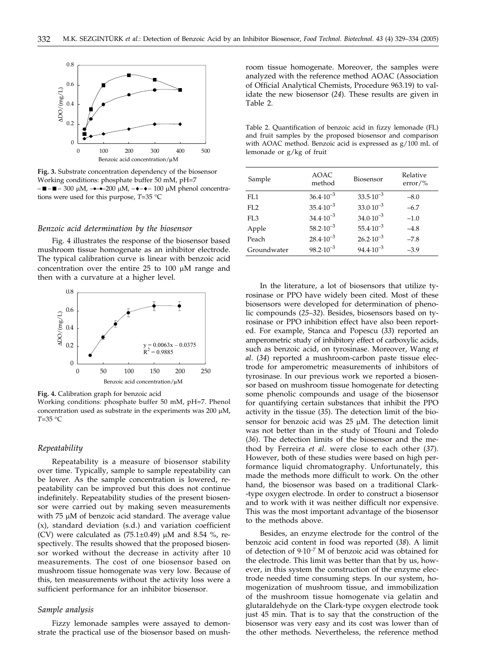

**Fig. 3.** Substrate concentration dependency of the biosensor Working conditions: phosphate buffer 50 mM, pH=7  $-$ ■ $-$  300  $\mu$ M,  $-$ 200  $\mu$ M,  $\rightarrow$  $+$  $-$  100  $\mu$ M phenol concentrations were used for this purpose,  $T=35$  °C

#### *Benzoic acid determination by the biosensor*

Fig. 4 illustrates the response of the biosensor based mushroom tissue homogenate as an inhibitor electrode. The typical calibration curve is linear with benzoic acid concentration over the entire  $25$  to  $100 \mu M$  range and then with a curvature at a higher level.



**Fig. 4.** Calibration graph for benzoic acid

Working conditions: phosphate buffer 50 mM, pH=7. Phenol concentration used as substrate in the experiments was  $200 \mu M$ ,  $T=35$  °C

#### *Repeatability*

Repeatability is a measure of biosensor stability over time. Typically, sample to sample repeatability can be lower. As the sample concentration is lowered, repeatability can be improved but this does not continue indefinitely. Repeatability studies of the present biosensor were carried out by making seven measurements with  $75 \mu M$  of benzoic acid standard. The average value (x), standard deviation (s.d.) and variation coefficient (CV) were calculated as  $(75.1\pm0.49)$  µM and 8.54 %, respectively. The results showed that the proposed biosensor worked without the decrease in activity after 10 measurements. The cost of one biosensor based on mushroom tissue homogenate was very low. Because of this, ten measurements without the activity loss were a sufficient performance for an inhibitor biosensor.

### *Sample analysis*

Fizzy lemonade samples were assayed to demonstrate the practical use of the biosensor based on mushroom tissue homogenate. Moreover, the samples were analyzed with the reference method AOAC (Association of Official Analytical Chemists, Procedure 963.19) to validate the new biosensor (*24*). These results are given in Table 2.

Table 2. Quantification of benzoic acid in fizzy lemonade (FL) and fruit samples by the proposed biosensor and comparison with AOAC method. Benzoic acid is expressed as g/100 mL of lemonade or g/kg of fruit

| Sample          | AOAC<br>method       | Biosensor            | Relative<br>$error/$ % |
|-----------------|----------------------|----------------------|------------------------|
| FI.1            | $36.4 \cdot 10^{-3}$ | $33.5 \cdot 10^{-3}$ | $-8.0$                 |
| FL <sub>2</sub> | $35.4 \cdot 10^{-3}$ | $33.0 \cdot 10^{-3}$ | $-6.7$                 |
| FI.3            | $34.4 \cdot 10^{-3}$ | $34.0 \cdot 10^{-3}$ | $-1.0$                 |
| Apple           | $58.2 \cdot 10^{-3}$ | $55.4 \cdot 10^{-3}$ | $-4.8$                 |
| Peach           | $28.4 \cdot 10^{-3}$ | $26.2 \cdot 10^{-3}$ | $-7.8$                 |
| Groundwater     | $98.2 \cdot 10^{-3}$ | $94.4 \cdot 10^{-3}$ | $-3.9$                 |

In the literature, a lot of biosensors that utilize tyrosinase or PPO have widely been cited. Most of these biosensors were developed for determination of phenolic compounds (*25*–*32*). Besides, biosensors based on tyrosinase or PPO inhibition effect have also been reported. For example, Stanca and Popescu (*33*) reported an amperometric study of inhibitory effect of carboxylic acids, such as benzoic acid, on tyrosinase. Moreover, Wang *et al*. (*34*) reported a mushroom-carbon paste tissue electrode for amperometric measurements of inhibitors of tyrosinase. In our previous work we reported a biosensor based on mushroom tissue homogenate for detecting some phenolic compounds and usage of the biosensor for quantifying certain substances that inhibit the PPO activity in the tissue (*35*). The detection limit of the biosensor for benzoic acid was  $25 \mu M$ . The detection limit was not better than in the study of Tfouni and Toledo (*36*). The detection limits of the biosensor and the method by Ferreira *et al*. were close to each other (*37*). However, both of these studies were based on high performance liquid chromatography. Unfortunately, this made the methods more difficult to work. On the other hand, the biosensor was based on a traditional Clark- -type oxygen electrode. In order to construct a biosensor and to work with it was neither difficult nor expensive. This was the most important advantage of the biosensor to the methods above.

Besides, an enzyme electrode for the control of the benzoic acid content in food was reported (*38*). A limit of detection of 9·10–7 M of benzoic acid was obtained for the electrode. This limit was better than that by us, however, in this system the construction of the enzyme electrode needed time consuming steps. In our system, homogenization of mushroom tissue, and immobilization of the mushroom tissue homogenate via gelatin and glutaraldehyde on the Clark-type oxygen electrode took just 45 min. That is to say that the construction of the biosensor was very easy and its cost was lower than of the other methods. Nevertheless, the reference method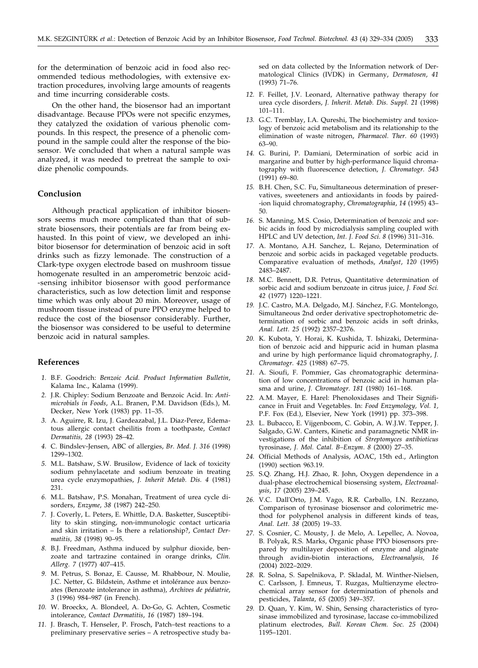for the determination of benzoic acid in food also recommended tedious methodologies, with extensive extraction procedures, involving large amounts of reagents and time incurring considerable costs.

On the other hand, the biosensor had an important disadvantage. Because PPOs were not specific enzymes, they catalyzed the oxidation of various phenolic compounds. In this respect, the presence of a phenolic compound in the sample could alter the response of the biosensor. We concluded that when a natural sample was analyzed, it was needed to pretreat the sample to oxidize phenolic compounds.

## **Conclusion**

Although practical application of inhibitor biosensors seems much more complicated than that of substrate biosensors, their potentials are far from being exhausted. In this point of view, we developed an inhibitor biosensor for determination of benzoic acid in soft drinks such as fizzy lemonade. The construction of a Clark-type oxygen electrode based on mushroom tissue homogenate resulted in an amperometric benzoic acid- -sensing inhibitor biosensor with good performance characteristics, such as low detection limit and response time which was only about 20 min. Moreover, usage of mushroom tissue instead of pure PPO enzyme helped to reduce the cost of the biosensor considerably. Further, the biosensor was considered to be useful to determine benzoic acid in natural samples.

### **References**

- *1.* B.F. Goodrich: *Benzoic Acid. Product Information Bulletin*, Kalama Inc., Kalama (1999).
- *2.* J.R. Chipley: Sodium Benzoate and Benzoic Acid. In: *Antimicrobials in Foods*, A.L. Branen, P.M. Davidson (Eds.), M. Decker, New York (1983) pp. 11–35.
- *3.* A. Aguirre, R. Izu, J. Gardeazabal, J.L. Diaz-Perez, Edematous allergic contact cheilitis from a toothpaste, *Contact Dermatitis, 28* (1993) 28–42.
- *4.* C. Bindslev-Jensen, ABC of allergies, *Br. Med. J. 316* (1998) 1299–1302.
- *5.* M.L. Batshaw, S.W. Brusilow, Evidence of lack of toxicity sodium pehnylacetate and sodium benzoate in treating urea cycle enzymopathies, *J. Inherit Metab. Dis. 4* (1981) 231.
- *6.* M.L. Batshaw, P.S. Monahan, Treatment of urea cycle disorders, *Enzyme*, *38* (1987) 242–250.
- *7.* J. Coverly, L. Peters, E. Whittle, D.A. Basketter, Susceptibility to skin stinging, non-immunologic contact urticaria and skin irritation – Is there a relationship?, *Contact Dermatitis, 38* (1998) 90–95.
- *8.* B.J. Freedman, Asthma induced by sulphur dioxide, benzoate and tartrazine contained in orange drinks, *Clin. Allerg. 7* (1977) 407–415.
- *9.* M. Petrus, S. Bonaz, E. Causse, M. Rhabbour, N. Moulie, J.C. Netter, G. Bildstein, Asthme et intolérance aux benzoates (Benzoate intolerance in asthma), *Archives de pédiatrie*, *3* (1996) 984–987 (in French).
- *10.* W. Broeckx, A. Blondeel, A. Do-Go, G. Achten, Cosmetic intolerance, *Contact Dermatitis*, *16* (1987) 189–194.
- *11.* J. Brasch, T. Henseler, P. Frosch, Patch–test reactions to a preliminary preservative series – A retrospective study ba-

sed on data collected by the Information network of Dermatological Clinics (IVDK) in Germany, *Dermatosen*, *41* (1993) 71–76.

- *12.* F. Feillet, J.V. Leonard, Alternative pathway therapy for urea cycle disorders, *J. Inherit. Metab. Dis. Suppl. 21* (1998) 101–111.
- *13.* G.C. Tremblay, I.A. Qureshi, The biochemistry and toxicology of benzoic acid metabolism and its relationship to the elimination of waste nitrogen, *Pharmacol. Ther. 60* (1993) 63–90.
- *14.* G. Burini, P. Damiani, Determination of sorbic acid in margarine and butter by high-performance liquid chromatography with fluorescence detection, *J. Chromatogr. 543* (1991) 69–80.
- *15.* B.H. Chen, S.C. Fu, Simultaneous determination of preservatives, sweeteners and antioxidants in foods by paired- -ion liquid chromatography, *Chromatographia*, *14* (1995) 43– 50.
- *16.* S. Manning, M.S. Cosio, Determination of benzoic and sorbic acids in food by microdialysis sampling coupled with HPLC and UV detection, *Int. J. Food Sci. 8* (1996) 311–316.
- *17.* A. Montano, A.H. Sanchez, L. Rejano, Determination of benzoic and sorbic acids in packaged vegetable products. Comparative evaluation of methods, *Analyst*, *120* (1995) 2483–2487.
- *18.* M.C. Bennett, D.R. Petrus, Quantitative determination of sorbic acid and sodium benzoate in citrus juice, *J. Food Sci. 42* (1977) 1220–1221.
- *19.* J.C. Castro, M.A. Delgado, M.J. Sánchez, F.G. Montelongo, Simultaneous 2nd order derivative spectrophotometric determination of sorbic and benzoic acids in soft drinks, *Anal. Lett. 25* (1992) 2357–2376.
- *20.* K. Kubota, Y. Horai, K. Kushida, T. Ishizaki, Determination of benzoic acid and hippuric acid in human plasma and urine by high performance liquid chromatography, *J. Chromatogr. 425* (1988) 67–75.
- *21.* A. Sioufi, F. Pommier, Gas chromatographic determination of low concentrations of benzoic acid in human plasma and urine, *J. Chromatogr. 181* (1980) 161–168.
- *22.* A.M. Mayer, E. Harel: Phenoloxidases and Their Significance in Fruit and Vegetables. In: *Food Enzymology, Vol. 1,* P.F. Fox (Ed.), Elsevier, New York (1991) pp. 373–398.
- *23.* L. Bubacco, E. Vijgenboom, C. Gobin, A. W.J.W. Tepper, J. Salgado, G.W. Canters, Kinetic and paramagnetic NMR investigations of the inhibition of *Streptomyces antibioticus* tyrosinase, *J. Mol. Catal. B–Enzym*. *8* (2000) 27–35.
- *24.* Official Methods of Analysis, AOAC, 15th ed., Arlington (1990) section 963.19.
- *25.* S.Q. Zhang, H.J. Zhao, R. John, Oxygen dependence in a dual-phase electrochemical biosensing system, *Electroanalysis*, *17* (2005) 239–245.
- *26.* V.C. Dall'Orto, J.M. Vago, R.R. Carballo, I.N. Rezzano, Comparison of tyrosinase biosensor and colorimetric method for polyphenol analysis in different kinds of teas, *Anal. Lett. 38* (2005) 19–33.
- *27.* S. Cosnier, C. Mousty, J. de Melo, A. Lepellec, A. Novoa, B. Polyak, R.S. Marks, Organic phase PPO biosensors prepared by multilayer deposition of enzyme and alginate through avidin-biotin interactions, *Electroanalysis, 16* (2004) 2022–2029.
- *28.* R. Solna, S. Sapelnikova, P. Skladal, M. Winther-Nielsen, C. Carlsson, J. Emneus, T. Ruzgas, Multienzyme electrochemical array sensor for determination of phenols and pesticides, *Talanta*, *65* (2005) 349–357.
- *29.* D. Quan, Y. Kim, W. Shin, Sensing characteristics of tyrosinase immobilized and tyrosinase, laccase co-immobilized platinum electrodes, *Bull. Korean Chem. Soc. 25* (2004) 1195–1201.